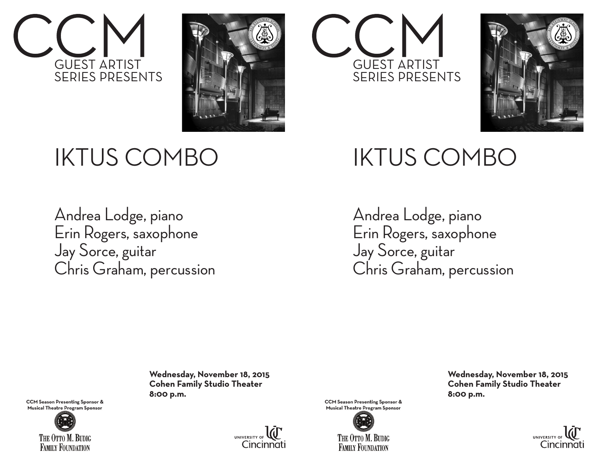



## IKTUS COMBO

Andrea Lodge, piano Erin Rogers, saxophone Jay Sorce, guitar Chris Graham, percussion

> **Wednesday, November 18, 2015 Cohen Family Studio Theater**



**8:00 p.m.**<br>CCM Season Presenting Sponsor & **Musical Theatre Program Sponsor**